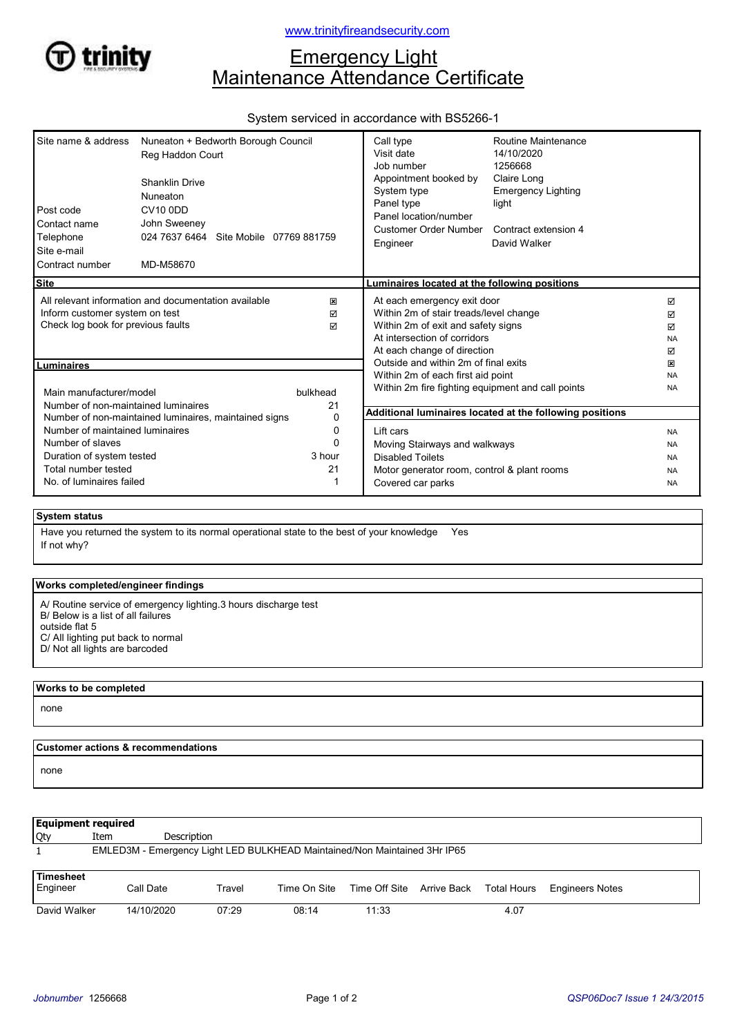

# **Emergency Light** Maintenance Attendance Certificate

# System serviced in accordance with BS5266-1

| Post code<br>Contact name<br>Telephone<br>Site e-mail<br>Contract number                                                                    | Site name & address    Nuneaton + Bedworth Borough Council<br>Reg Haddon Court<br><b>Shanklin Drive</b><br>Nuneaton<br><b>CV10 0DD</b><br>John Sweeney<br>024 7637 6464 Site Mobile 07769 881759<br>MD-M58670 |                                                                                                                                                                            | Call type<br>Visit date<br>Job number<br>Appointment booked by<br>System type<br>Panel type<br>Panel location/number<br><b>Customer Order Number</b><br>Engineer | Routine Maintenance<br>14/10/2020<br>1256668<br>Claire Long<br><b>Emergency Lighting</b><br>light<br>Contract extension 4<br>David Walker |                        |
|---------------------------------------------------------------------------------------------------------------------------------------------|---------------------------------------------------------------------------------------------------------------------------------------------------------------------------------------------------------------|----------------------------------------------------------------------------------------------------------------------------------------------------------------------------|------------------------------------------------------------------------------------------------------------------------------------------------------------------|-------------------------------------------------------------------------------------------------------------------------------------------|------------------------|
| <b>Site</b>                                                                                                                                 |                                                                                                                                                                                                               |                                                                                                                                                                            | Luminaires located at the following positions                                                                                                                    |                                                                                                                                           |                        |
| All relevant information and documentation available<br>×<br>Inform customer system on test<br>☑<br>Check log book for previous faults<br>⊠ |                                                                                                                                                                                                               | At each emergency exit door<br>Within 2m of stair treads/level change<br>Within 2m of exit and safety signs<br>At intersection of corridors<br>At each change of direction |                                                                                                                                                                  | ☑<br>☑<br>☑<br><b>NA</b><br>☑                                                                                                             |                        |
| Luminaires                                                                                                                                  |                                                                                                                                                                                                               |                                                                                                                                                                            | Outside and within 2m of final exits                                                                                                                             |                                                                                                                                           | ×                      |
| Main manufacturer/model<br>Number of non-maintained luminaires                                                                              |                                                                                                                                                                                                               | bulkhead<br>21                                                                                                                                                             | Within 2m of each first aid point<br>Within 2m fire fighting equipment and call points                                                                           |                                                                                                                                           | <b>NA</b><br><b>NA</b> |
| Number of non-maintained luminaires, maintained signs<br>0                                                                                  |                                                                                                                                                                                                               |                                                                                                                                                                            | Additional luminaires located at the following positions                                                                                                         |                                                                                                                                           |                        |
| Number of maintained luminaires<br>0                                                                                                        |                                                                                                                                                                                                               | Lift cars                                                                                                                                                                  |                                                                                                                                                                  | <b>NA</b>                                                                                                                                 |                        |
| Number of slaves<br>$\Omega$<br>3 hour                                                                                                      |                                                                                                                                                                                                               | Moving Stairways and walkways                                                                                                                                              |                                                                                                                                                                  | <b>NA</b>                                                                                                                                 |                        |
| Duration of system tested<br>Total number tested<br>21                                                                                      |                                                                                                                                                                                                               | <b>Disabled Toilets</b>                                                                                                                                                    |                                                                                                                                                                  | <b>NA</b>                                                                                                                                 |                        |
| No. of luminaires failed                                                                                                                    |                                                                                                                                                                                                               | Motor generator room, control & plant rooms<br>Covered car parks                                                                                                           |                                                                                                                                                                  | <b>NA</b><br><b>NA</b>                                                                                                                    |                        |

## System status

If not why? Have you returned the system to its normal operational state to the best of your knowledge Yes

#### Works completed/engineer findings

- A/ Routine service of emergency lighting.3 hours discharge test B/ Below is a list of all failures outside flat 5 C/ All lighting put back to normal
- D/ Not all lights are barcoded

# Works to be completed none

### Customer actions & recommendations

none

| <b>Equipment required</b>                                                 |            |             |              |                                       |  |      |                        |  |
|---------------------------------------------------------------------------|------------|-------------|--------------|---------------------------------------|--|------|------------------------|--|
| Qty                                                                       | Item       | Description |              |                                       |  |      |                        |  |
| EMLED3M - Emergency Light LED BULKHEAD Maintained/Non Maintained 3Hr IP65 |            |             |              |                                       |  |      |                        |  |
| <b>Timesheet</b><br>Engineer                                              | Call Date  | Travel      | Time On Site | Time Off Site Arrive Back Total Hours |  |      | <b>Engineers Notes</b> |  |
| David Walker                                                              | 14/10/2020 | 07:29       | 08:14        | 11:33                                 |  | 4.07 |                        |  |